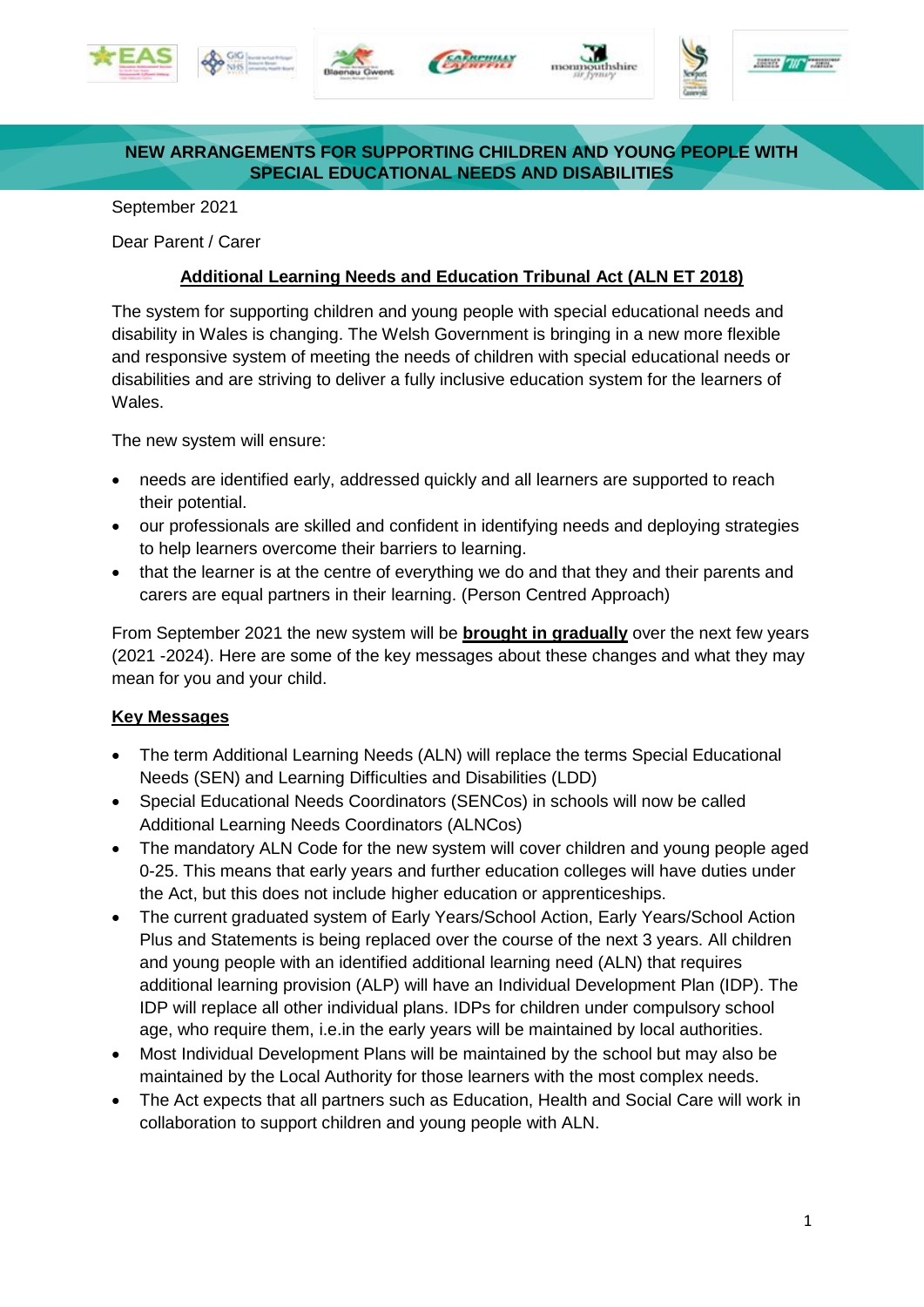











## **NEW ARRANGEMENTS FOR SUPPORTING CHILDREN AND YOUNG PEOPLE WITH SPECIAL EDUCATIONAL NEEDS AND DISABILITIES**

September 2021

Dear Parent / Carer

## **Additional Learning Needs and Education Tribunal Act (ALN ET 2018)**

The system for supporting children and young people with special educational needs and disability in Wales is changing. The Welsh Government is bringing in a new more flexible and responsive system of meeting the needs of children with special educational needs or disabilities and are striving to deliver a fully inclusive education system for the learners of Wales.

The new system will ensure:

- needs are identified early, addressed quickly and all learners are supported to reach their potential.
- our professionals are skilled and confident in identifying needs and deploying strategies to help learners overcome their barriers to learning.
- that the learner is at the centre of everything we do and that they and their parents and carers are equal partners in their learning. (Person Centred Approach)

From September 2021 the new system will be **brought in gradually** over the next few years (2021 -2024). Here are some of the key messages about these changes and what they may mean for you and your child.

## **Key Messages**

- The term Additional Learning Needs (ALN) will replace the terms Special Educational Needs (SEN) and Learning Difficulties and Disabilities (LDD)
- Special Educational Needs Coordinators (SENCos) in schools will now be called Additional Learning Needs Coordinators (ALNCos)
- The mandatory ALN Code for the new system will cover children and young people aged 0-25. This means that early years and further education colleges will have duties under the Act, but this does not include higher education or apprenticeships.
- The current graduated system of Early Years/School Action, Early Years/School Action Plus and Statements is being replaced over the course of the next 3 years. All children and young people with an identified additional learning need (ALN) that requires additional learning provision (ALP) will have an Individual Development Plan (IDP). The IDP will replace all other individual plans. IDPs for children under compulsory school age, who require them, i.e.in the early years will be maintained by local authorities.
- Most Individual Development Plans will be maintained by the school but may also be maintained by the Local Authority for those learners with the most complex needs.
- The Act expects that all partners such as Education, Health and Social Care will work in collaboration to support children and young people with ALN.